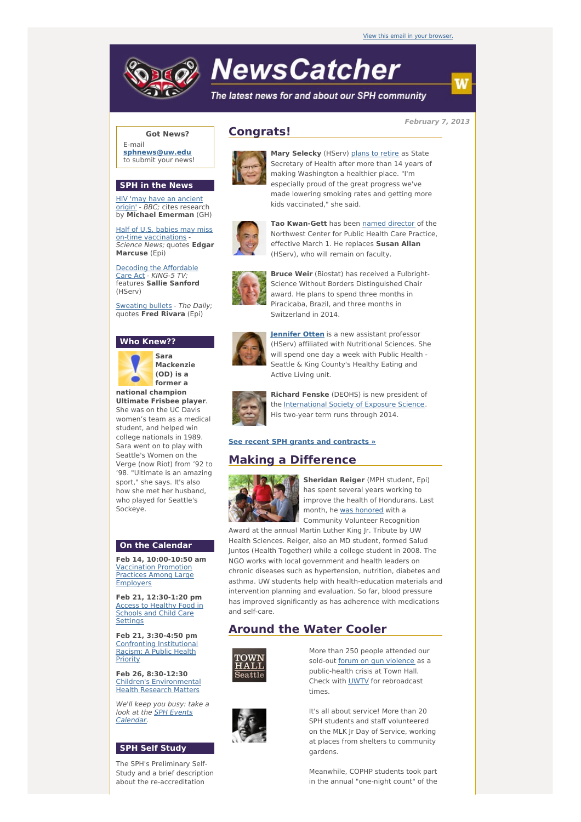# **NewsCatcher**

The latest news for and about our SPH community

**February 7, 2013**

## **Got News?**

E-mail **[sphnews@uw.edu](mailto:sphnews@uw.edu)** to submit your news!

### **SPH in the News**

HIV 'may have an [ancient](http://engage.washington.edu/site/R?i=6IGPUE4fTJlDZCCxNhpooA) origin' - BBC; cites research by **Michael Emerman** (GH)

Half of U.S. babies may miss on-time [vaccinations](http://engage.washington.edu/site/R?i=l5YvyJ5IlQESUoxex9goGA) Science News; quotes **Edgar Marcuse** (Epi)

Decoding the [Affordable](http://engage.washington.edu/site/R?i=6ZAfz5KXSiCpIRJFYqDU-g) Care Act - KING-5 TV; features **Sallie Sanford** (HServ)

[Sweating](http://engage.washington.edu/site/R?i=68sQqQhXlBlBu71Mjp6ToA) bullets - The Daily; quotes **Fred Rivara** (Epi)

#### **Who Knew??**



**Sara Mackenzie (OD) is a former a national champion**

**Ultimate Frisbee player**. She was on the UC Davis women's team as a medical student, and helped win college nationals in 1989. Sara went on to play with Seattle's Women on the Verge (now Riot) from '92 to '98. "Ultimate is an amazing sport," she says. It's also how she met her husband, who played for Seattle's Sockeye.

#### **On the Calendar**

**Feb 14, 10:00-10:50 am** [Vaccination](http://engage.washington.edu/site/R?i=SGVeyg_S_NqjcWWGQHuWUw) Promotion Practices Among Large Employers

**Feb 21, 12:30-1:20 pm** Access to Healthy Food in Schools and Child Care **[Settings](http://engage.washington.edu/site/R?i=l3PGfJ9JFugQpQVHcND5Gg)** 

**Feb 21, 3:30-4:50 pm** [Confronting](http://engage.washington.edu/site/R?i=wUnNZQsCCqRefOjwnKfOvw) Institutional Racism: A Public Health **Priority** 

**Feb 26, 8:30-12:30** Children's [Environmental](http://engage.washington.edu/site/R?i=6A-Mz1gAfAoiw5mhU1b84A) Health Research Matters

We'll keep you busy: take a look at the SPH Events [Calendar.](http://engage.washington.edu/site/R?i=7ZMkmy3fFBPjRqOXhqJAtA)

## **SPH Self Study**

The SPH's Preliminary Self-Study and a brief description about the re-accreditation

# **Congrats!**



**Mary Selecky** (HServ) plans to [retire](http://engage.washington.edu/site/R?i=7lI62KqkZfeCzYxDxo1FGg) as State Secretary of Health after more than 14 years of making Washington a healthier place. "I'm especially proud of the great progress we've made lowering smoking rates and getting more kids vaccinated," she said.



**Tao Kwan-Gett** has been named [director](http://engage.washington.edu/site/R?i=r6M4axtF92XmgFWEG-aKEA) of the Northwest Center for Public Health Care Practice, effective March 1. He replaces **Susan Allan** (HServ), who will remain on faculty.



**Bruce Weir** (Biostat) has received a Fulbright-Science Without Borders Distinguished Chair award. He plans to spend three months in Piracicaba, Brazil, and three months in Switzerland in 2014.



**[Jennifer](http://engage.washington.edu/site/R?i=WWnXEeXRPGfiQibe6t1tcA) Otten** is a new assistant professor (HServ) affiliated with Nutritional Sciences. She will spend one day a week with Public Health - Seattle & King County's Healthy Eating and Active Living unit.



**Richard Fenske** (DEOHS) is new president of the [International](http://engage.washington.edu/site/R?i=gyE8v4j2eGsFbVJOGNjEwA) Society of Exposure Science. His two-year term runs through 2014.

#### **See recent SPH grants and [contracts](http://engage.washington.edu/site/R?i=BIWAKeA1hMXN9DxG4VUt2g) »**

# **Making a Difference**



**Sheridan Reiger** (MPH student, Epi) has spent several years working to improve the health of Hondurans. Last month, he was [honored](http://engage.washington.edu/site/R?i=uumJNG4Hjj_HnqD5hXJQvA) with a Community Volunteer Recognition

Award at the annual Martin Luther King Jr. Tribute by UW Health Sciences. Reiger, also an MD student, formed Salud Juntos (Health Together) while a college student in 2008. The NGO works with local government and health leaders on chronic diseases such as hypertension, nutrition, diabetes and asthma. UW students help with health-education materials and intervention planning and evaluation. So far, blood pressure has improved significantly as has adherence with medications and self-care.

# **Around the Water Cooler**



More than 250 people attended our sold-out forum on gun [violence](http://engage.washington.edu/site/R?i=GLODakub-MFAlQAfLxOxTw) as a public-health crisis at Town Hall. Check with [UWTV](http://engage.washington.edu/site/R?i=mjzBaF0s0mqgQzNLQA5PrA) for rebroadcast times.

It's all about service! More than 20 SPH students and staff volunteered on the MLK Jr Day of Service, working at places from shelters to community gardens.

Meanwhile, COPHP students took part in the annual "one-night count" of the